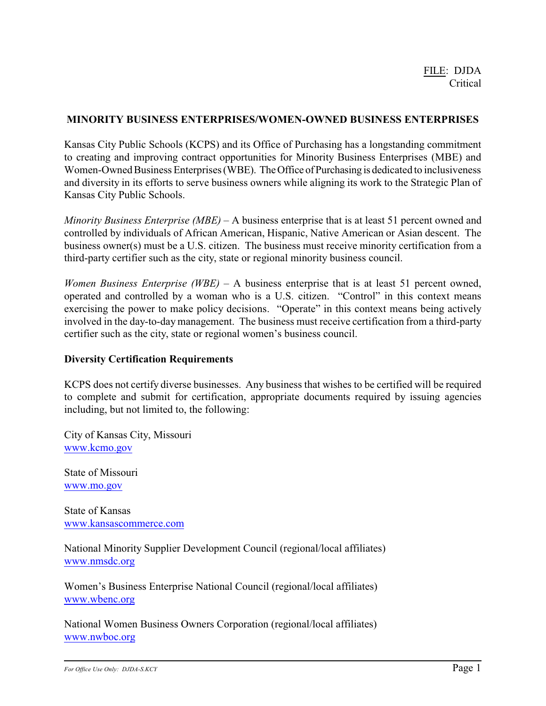# **MINORITY BUSINESS ENTERPRISES/WOMEN-OWNED BUSINESS ENTERPRISES**

Kansas City Public Schools (KCPS) and its Office of Purchasing has a longstanding commitment to creating and improving contract opportunities for Minority Business Enterprises (MBE) and Women-Owned Business Enterprises (WBE). The Office of Purchasing is dedicated to inclusiveness and diversity in its efforts to serve business owners while aligning its work to the Strategic Plan of Kansas City Public Schools.

*Minority Business Enterprise (MBE)* – A business enterprise that is at least 51 percent owned and controlled by individuals of African American, Hispanic, Native American or Asian descent. The business owner(s) must be a U.S. citizen. The business must receive minority certification from a third-party certifier such as the city, state or regional minority business council.

*Women Business Enterprise (WBE)* – A business enterprise that is at least 51 percent owned, operated and controlled by a woman who is a U.S. citizen. "Control" in this context means exercising the power to make policy decisions. "Operate" in this context means being actively involved in the day-to-day management. The business must receive certification from a third-party certifier such as the city, state or regional women's business council.

## **Diversity Certification Requirements**

KCPS does not certify diverse businesses. Any business that wishes to be certified will be required to complete and submit for certification, appropriate documents required by issuing agencies including, but not limited to, the following:

City of Kansas City, Missouri [www.kcmo.gov](http://www.kcmo.gov)

State of Missouri [www.mo.gov](http://www.mo.gov)

State of Kansas [www.kansascommerce.com](http://www.kansascommerce.com)

National Minority Supplier Development Council (regional/local affiliates) [www.nmsdc.org](http://www.nmsdc.org)

Women's Business Enterprise National Council (regional/local affiliates) [www.wbenc.org](http://www.wbenc.org)

National Women Business Owners Corporation (regional/local affiliates) [www.nwboc.org](http://www.nwboc.org)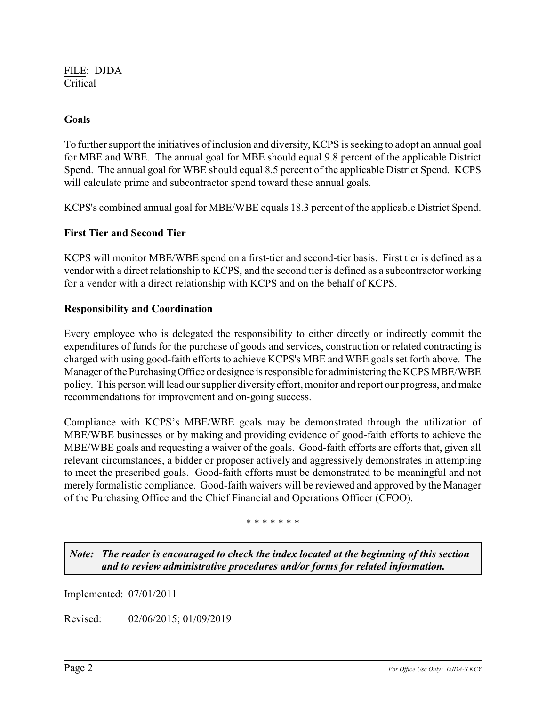FILE: DJDA Critical

# **Goals**

To further support the initiatives of inclusion and diversity, KCPS is seeking to adopt an annual goal for MBE and WBE. The annual goal for MBE should equal 9.8 percent of the applicable District Spend. The annual goal for WBE should equal 8.5 percent of the applicable District Spend. KCPS will calculate prime and subcontractor spend toward these annual goals.

KCPS's combined annual goal for MBE/WBE equals 18.3 percent of the applicable District Spend.

## **First Tier and Second Tier**

KCPS will monitor MBE/WBE spend on a first-tier and second-tier basis. First tier is defined as a vendor with a direct relationship to KCPS, and the second tier is defined as a subcontractor working for a vendor with a direct relationship with KCPS and on the behalf of KCPS.

## **Responsibility and Coordination**

Every employee who is delegated the responsibility to either directly or indirectly commit the expenditures of funds for the purchase of goods and services, construction or related contracting is charged with using good-faith efforts to achieve KCPS's MBE and WBE goals set forth above. The Manager of the PurchasingOffice or designee is responsible for administering the KCPS MBE/WBE policy. This person will lead our supplier diversity effort, monitor and report our progress, and make recommendations for improvement and on-going success.

Compliance with KCPS's MBE/WBE goals may be demonstrated through the utilization of MBE/WBE businesses or by making and providing evidence of good-faith efforts to achieve the MBE/WBE goals and requesting a waiver of the goals. Good-faith efforts are efforts that, given all relevant circumstances, a bidder or proposer actively and aggressively demonstrates in attempting to meet the prescribed goals. Good-faith efforts must be demonstrated to be meaningful and not merely formalistic compliance. Good-faith waivers will be reviewed and approved by the Manager of the Purchasing Office and the Chief Financial and Operations Officer (CFOO).

### \* \* \* \* \* \* \*

*Note: The reader is encouraged to check the index located at the beginning of this section and to review administrative procedures and/or forms for related information.*

Implemented: 07/01/2011

Revised: 02/06/2015; 01/09/2019